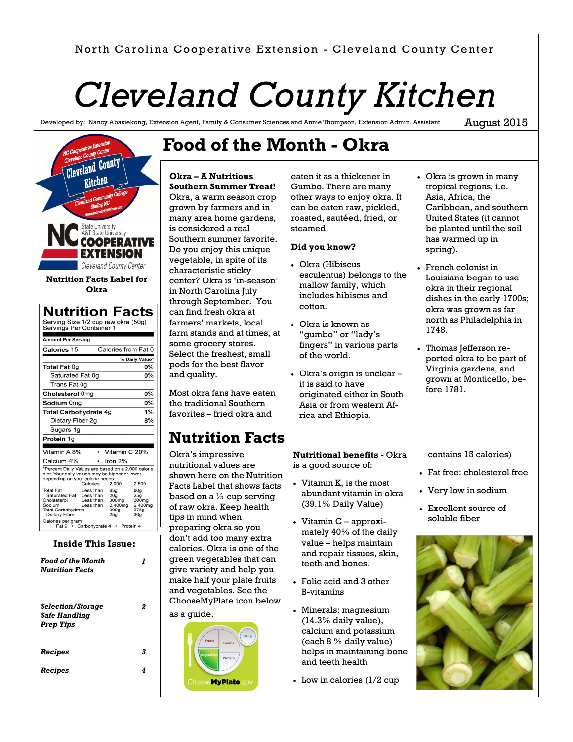## North Carolina Cooperative Extension - Cleveland County Center

# *Cleveland County Kitchen*

Developed by: Nancy Abasiekong, Extension Agent, Family & Consumer Sciences and Annie Thompson, Extension Admin. Assistant

August 2015



#### **Inside This Issue:**

Calories per gram:<br>Fat 9 • Carbohydrate 4 • Protein 4

| <b>Food of the Month</b><br><b>Nutrition Facts</b>                          |   |
|-----------------------------------------------------------------------------|---|
| <i>Selection/Storage</i><br><i><b>Safe Handling</b></i><br><b>Prep Tips</b> | 2 |
| Recipes                                                                     | 3 |
| Recipes                                                                     | 4 |

# **Food of the Month - Okra**

#### **Okra – A Nutritious Southern Summer Treat!**

Okra, a warm season crop grown by farmers and in many area home gardens, is considered a real Southern summer favorite. Do you enjoy this unique vegetable, in spite of its characteristic sticky center? Okra is 'in-season' in North Carolina July through September. You can find fresh okra at farmers' markets, local farm stands and at times, at some grocery stores. Select the freshest, small pods for the best flavor and quality.

Most okra fans have eaten the traditional Southern favorites – fried okra and

## **Nutrition Facts**

Okra's impressive nutritional values are shown here on the Nutrition Facts Label that shows facts based on a  $\frac{1}{2}$  cup serving of raw okra. Keep health tips in mind when preparing okra so you don't add too many extra calories. Okra is one of the green vegetables that can give variety and help you make half your plate fruits and vegetables. See the ChooseMyPlate icon below

# as a guide. **MyPlate**

eaten it as a thickener in Gumbo. There are many other ways to enjoy okra. It can be eaten raw, pickled, roasted, sautéed, fried, or steamed.

#### **Did you know?**

- Okra (Hibiscus esculentus) belongs to the mallow family, which includes hibiscus and cotton.
- Okra is known as "gumbo" or "lady's fingers" in various parts of the world.
- Okra's origin is unclear it is said to have originated either in South Asia or from western Africa and Ethiopia.
- Okra is grown in many tropical regions, i.e. Asia, Africa, the Caribbean, and southern United States (it cannot be planted until the soil has warmed up in spring).
- French colonist in Louisiana began to use okra in their regional dishes in the early 1700s; okra was grown as far north as Philadelphia in 1748.
- Thomas Jefferson reported okra to be part of Virginia gardens, and grown at Monticello, before 1781.

contains 15 calories)

- Fat free: cholesterol free
- Very low in sodium
- Excellent source of soluble fiber



### **Nutritional benefits -** Okra is a good source of:

- Vitamin K, is the most abundant vitamin in okra (39.1% Daily Value)
- $\bullet$  Vitamin C approximately 40% of the daily value – helps maintain and repair tissues, skin, teeth and bones.
- Folic acid and 3 other B-vitamins
- Minerals: magnesium (14.3% daily value), calcium and potassium (each 8 % daily value) helps in maintaining bone and teeth health
- Low in calories (1/2 cup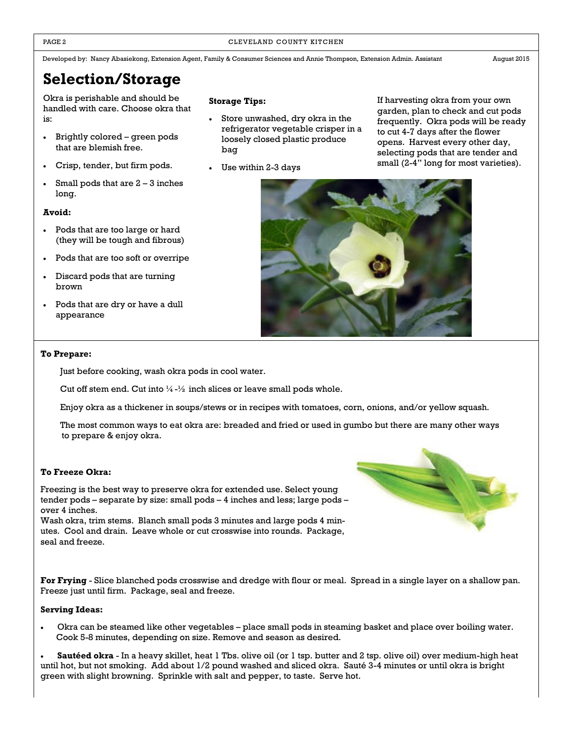#### PAGE 2 CLEVELAND COUNTY KITCHEN

Developed by: Nancy Abasiekong, Extension Agent, Family & Consumer Sciences and Annie Thompson, Extension Admin. Assistant August 2015

## **Selection/Storage**

Okra is perishable and should be handled with care. Choose okra that is:

- Brightly colored green pods that are blemish free.
- Crisp, tender, but firm pods.
- Small pods that are  $2 3$  inches long.

#### **Avoid:**

- Pods that are too large or hard (they will be tough and fibrous)
- Pods that are too soft or overripe
- Discard pods that are turning brown
- Pods that are dry or have a dull appearance

#### **Storage Tips:**

- Store unwashed, dry okra in the refrigerator vegetable crisper in a loosely closed plastic produce bag
- Use within 2-3 days

If harvesting okra from your own garden, plan to check and cut pods frequently. Okra pods will be ready to cut 4-7 days after the flower opens. Harvest every other day, selecting pods that are tender and small (2-4" long for most varieties).



#### **To Prepare:**

Just before cooking, wash okra pods in cool water.

Cut off stem end. Cut into  $\frac{1}{4} - \frac{1}{2}$  inch slices or leave small pods whole.

Enjoy okra as a thickener in soups/stews or in recipes with tomatoes, corn, onions, and/or yellow squash.

The most common ways to eat okra are: breaded and fried or used in gumbo but there are many other ways to prepare & enjoy okra.

#### **To Freeze Okra:**

Freezing is the best way to preserve okra for extended use. Select young tender pods – separate by size: small pods – 4 inches and less; large pods – over 4 inches.

Wash okra, trim stems. Blanch small pods 3 minutes and large pods 4 minutes. Cool and drain. Leave whole or cut crosswise into rounds. Package, seal and freeze.

**For Frying** - Slice blanched pods crosswise and dredge with flour or meal. Spread in a single layer on a shallow pan. Freeze just until firm. Package, seal and freeze.

#### **Serving Ideas:**

 Okra can be steamed like other vegetables – place small pods in steaming basket and place over boiling water. Cook 5-8 minutes, depending on size. Remove and season as desired.

 **Sautéed okra** - In a heavy skillet, heat 1 Tbs. olive oil (or 1 tsp. butter and 2 tsp. olive oil) over medium-high heat until hot, but not smoking. Add about 1/2 pound washed and sliced okra. Sauté 3-4 minutes or until okra is bright green with slight browning. Sprinkle with salt and pepper, to taste. Serve hot.

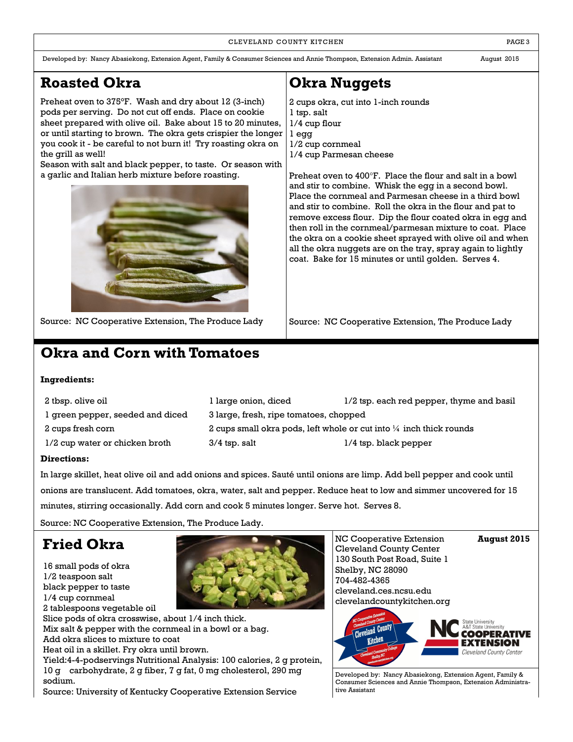#### CLEVELAND COUNTY KITCHEN **EXECUTE A RESISTENT COUNTY KITCHEN**

Developed by: Nancy Abasiekong, Extension Agent, Family & Consumer Sciences and Annie Thompson, Extension Admin. Assistant August 2015

## **Roasted Okra**

Preheat oven to 375°F. Wash and dry about 12 (3-inch) pods per serving. Do not cut off ends. Place on cookie sheet prepared with olive oil. Bake about 15 to 20 minutes, or until starting to brown. The okra gets crispier the longer you cook it - be careful to not burn it! Try roasting okra on the grill as well!

Season with salt and black pepper, to taste. Or season with a garlic and Italian herb mixture before roasting.



Source: NC Cooperative Extension, The Produce Lady

## **Okra and Corn with Tomatoes**

## **Ingredients:**

| 2 tbsp. olive oil                | l large onion, diced                                                           | 1/2 tsp. each red pepper, thyme and basil |  |
|----------------------------------|--------------------------------------------------------------------------------|-------------------------------------------|--|
| 1 green pepper, seeded and diced | 3 large, fresh, ripe tomatoes, chopped                                         |                                           |  |
| 2 cups fresh corn                | 2 cups small okra pods, left whole or cut into $\frac{1}{4}$ inch thick rounds |                                           |  |
| 1/2 cup water or chicken broth   | 3/4 tsp. salt                                                                  | $1/4$ tsp. black pepper                   |  |

### **Directions:**

In large skillet, heat olive oil and add onions and spices. Sauté until onions are limp. Add bell pepper and cook until onions are translucent. Add tomatoes, okra, water, salt and pepper. Reduce heat to low and simmer uncovered for 15 minutes, stirring occasionally. Add corn and cook 5 minutes longer. Serve hot. Serves 8.

Source: NC Cooperative Extension, The Produce Lady.

## **Fried Okra**



NC Cooperative Extension **August 2015** Cleveland County Center 130 South Post Road, Suite 1 Shelby, NC 28090 704-482-4365 cleveland.ces.ncsu.edu clevelandcountykitchen.org



Developed by: Nancy Abasiekong, Extension Agent, Family & Consumer Sciences and Annie Thompson, Extension Administrative Assistant

## **Okra Nuggets**

2 cups okra, cut into 1-inch rounds 1 tsp. salt 1/4 cup flour 1 egg 1/2 cup cornmeal 1/4 cup Parmesan cheese

Preheat oven to 400°F. Place the flour and salt in a bowl and stir to combine. Whisk the egg in a second bowl. Place the cornmeal and Parmesan cheese in a third bowl and stir to combine. Roll the okra in the flour and pat to remove excess flour. Dip the flour coated okra in egg and then roll in the cornmeal/parmesan mixture to coat. Place the okra on a cookie sheet sprayed with olive oil and when all the okra nuggets are on the tray, spray again to lightly coat. Bake for 15 minutes or until golden. Serves 4.

Source: NC Cooperative Extension, The Produce Lady